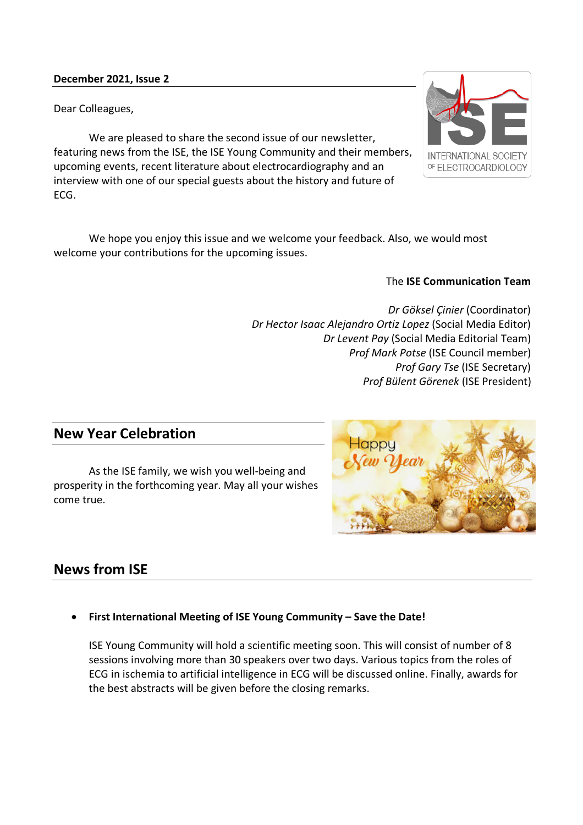### **December 2021, Issue 2**

Dear Colleagues,

We are pleased to share the second issue of our newsletter, featuring news from the ISE, the ISE Young Community and their members, upcoming events, recent literature about electrocardiography and an interview with one of our special guests about the history and future of ECG.

We hope you enjoy this issue and we welcome your feedback. Also, we would most welcome your contributions for the upcoming issues.

### The **ISE Communication Team**

*Dr Göksel Çinier* (Coordinator) *Dr Hector Isaac Alejandro Ortiz Lopez* (Social Media Editor) *Dr Levent Pay* (Social Media Editorial Team) *Prof Mark Potse* (ISE Council member) *Prof Gary Tse* (ISE Secretary) *Prof Bülent Görenek* (ISE President)

## **New Year Celebration**

As the ISE family, we wish you well-being and prosperity in the forthcoming year. May all your wishes come true.

# **News from ISE**

• **First International Meeting of ISE Young Community – Save the Date!**

ISE Young Community will hold a scientific meeting soon. This will consist of number of 8 sessions involving more than 30 speakers over two days. Various topics from the roles of ECG in ischemia to artificial intelligence in ECG will be discussed online. Finally, awards for the best abstracts will be given before the closing remarks.



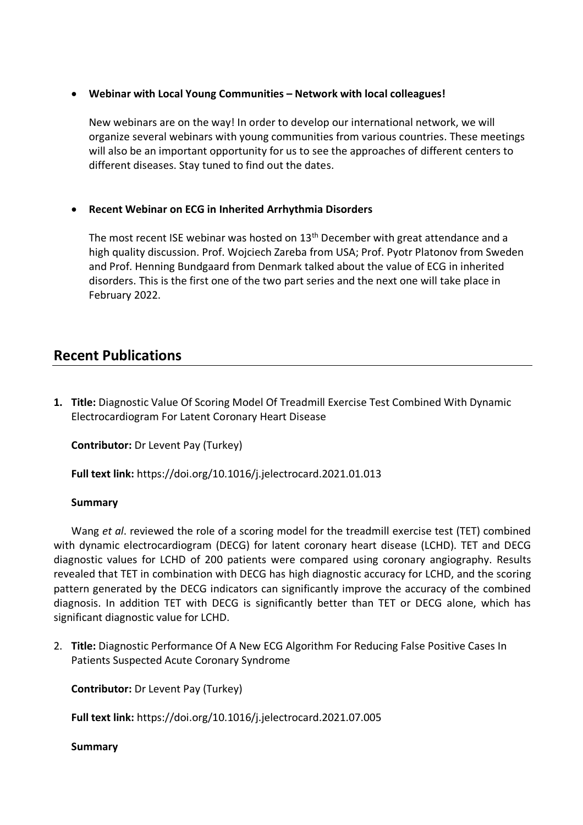### • **Webinar with Local Young Communities – Network with local colleagues!**

New webinars are on the way! In order to develop our international network, we will organize several webinars with young communities from various countries. These meetings will also be an important opportunity for us to see the approaches of different centers to different diseases. Stay tuned to find out the dates.

## • **Recent Webinar on ECG in Inherited Arrhythmia Disorders**

The most recent ISE webinar was hosted on 13<sup>th</sup> December with great attendance and a high quality discussion. Prof. Wojciech Zareba from USA; Prof. Pyotr Platonov from Sweden and Prof. Henning Bundgaard from Denmark talked about the value of ECG in inherited disorders. This is the first one of the two part series and the next one will take place in February 2022.

## **Recent Publications**

**1. Title:** Diagnostic Value Of Scoring Model Of Treadmill Exercise Test Combined With Dynamic Electrocardiogram For Latent Coronary Heart Disease

**Contributor:** Dr Levent Pay (Turkey)

**Full text link:** https://doi.org/10.1016/j.jelectrocard.2021.01.013

### **Summary**

Wang *et al*. reviewed the role of a scoring model for the treadmill exercise test (TET) combined with dynamic electrocardiogram (DECG) for latent coronary heart disease (LCHD). TET and DECG diagnostic values for LCHD of 200 patients were compared using coronary angiography. Results revealed that TET in combination with DECG has high diagnostic accuracy for LCHD, and the scoring pattern generated by the DECG indicators can significantly improve the accuracy of the combined diagnosis. In addition TET with DECG is significantly better than TET or DECG alone, which has significant diagnostic value for LCHD.

2. **Title:** Diagnostic Performance Of A New ECG Algorithm For Reducing False Positive Cases In Patients Suspected Acute Coronary Syndrome

**Contributor:** Dr Levent Pay (Turkey)

**Full text link:** https://doi.org/10.1016/j.jelectrocard.2021.07.005

## **Summary**